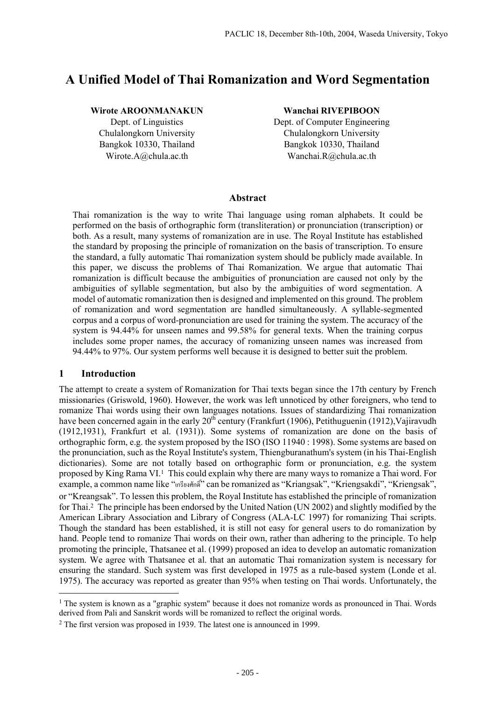# **A Unified Model of Thai Romanization and Word Segmentation**

## **Wirote AROONMANAKUN**

Dept. of Linguistics Chulalongkorn University Bangkok 10330, Thailand Wirote.A@chula.ac.th

#### **Wanchai RIVEPIBOON**

Dept. of Computer Engineering Chulalongkorn University Bangkok 10330, Thailand Wanchai.R@chula.ac.th

# **Abstract**

Thai romanization is the way to write Thai language using roman alphabets. It could be performed on the basis of orthographic form (transliteration) or pronunciation (transcription) or both. As a result, many systems of romanization are in use. The Royal Institute has established the standard by proposing the principle of romanization on the basis of transcription. To ensure the standard, a fully automatic Thai romanization system should be publicly made available. In this paper, we discuss the problems of Thai Romanization. We argue that automatic Thai romanization is difficult because the ambiguities of pronunciation are caused not only by the ambiguities of syllable segmentation, but also by the ambiguities of word segmentation. A model of automatic romanization then is designed and implemented on this ground. The problem of romanization and word segmentation are handled simultaneously. A syllable-segmented corpus and a corpus of word-pronunciation are used for training the system. The accuracy of the system is 94.44% for unseen names and 99.58% for general texts. When the training corpus includes some proper names, the accuracy of romanizing unseen names was increased from 94.44% to 97%. Our system performs well because it is designed to better suit the problem.

# **1 Introduction**

l

The attempt to create a system of Romanization for Thai texts began since the 17th century by French missionaries (Griswold, 1960). However, the work was left unnoticed by other foreigners, who tend to romanize Thai words using their own languages notations. Issues of standardizing Thai romanization have been concerned again in the early  $20^{th}$  century (Frankfurt (1906), Petithuguenin (1912), Vajiravudh (1912,1931), Frankfurt et al. (1931)). Some systems of romanization are done on the basis of orthographic form, e.g. the system proposed by the ISO (ISO 11940 : 1998). Some systems are based on the pronunciation, such as the Royal Institute's system, Thiengburanathum's system (in his Thai-English dictionaries). Some are not totally based on orthographic form or pronunciation, e.g. the system proposed by King Rama VI.1 This could explain why there are many ways to romanize a Thai word. For example, a common name like "เกรียงศักดิ์" can be romanized as "Kriangsak", "Kriengsakdi", "Kriengsak", or "Kreangsak". To lessen this problem, the Royal Institute has established the principle of romanization for Thai.2 The principle has been endorsed by the United Nation (UN 2002) and slightly modified by the American Library Association and Library of Congress (ALA-LC 1997) for romanizing Thai scripts. Though the standard has been established, it is still not easy for general users to do romanization by hand. People tend to romanize Thai words on their own, rather than adhering to the principle. To help promoting the principle, Thatsanee et al. (1999) proposed an idea to develop an automatic romanization system. We agree with Thatsanee et al. that an automatic Thai romanization system is necessary for ensuring the standard. Such system was first developed in 1975 as a rule-based system (Londe et al. 1975). The accuracy was reported as greater than 95% when testing on Thai words. Unfortunately, the

<sup>&</sup>lt;sup>1</sup> The system is known as a "graphic system" because it does not romanize words as pronounced in Thai. Words derived from Pali and Sanskrit words will be romanized to reflect the original words.

<sup>2</sup> The first version was proposed in 1939. The latest one is announced in 1999.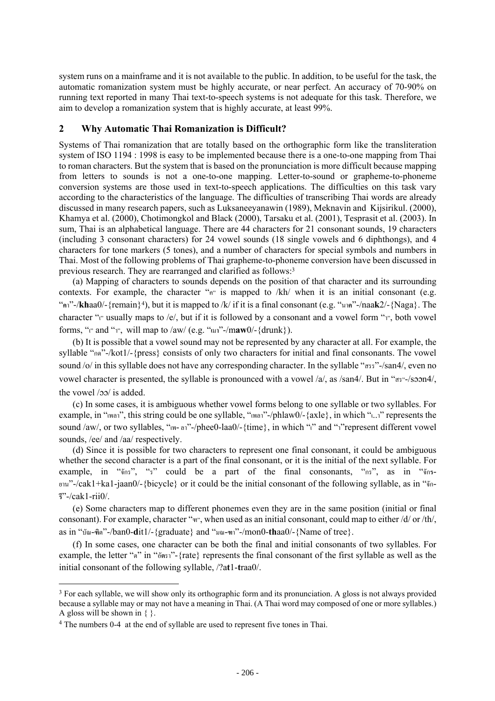system runs on a mainframe and it is not available to the public. In addition, to be useful for the task, the automatic romanization system must be highly accurate, or near perfect. An accuracy of 70-90% on running text reported in many Thai text-to-speech systems is not adequate for this task. Therefore, we aim to develop a romanization system that is highly accurate, at least 99%.

# **2 Why Automatic Thai Romanization is Difficult?**

Systems of Thai romanization that are totally based on the orthographic form like the transliteration system of ISO 1194 : 1998 is easy to be implemented because there is a one-to-one mapping from Thai to roman characters. But the system that is based on the pronunciation is more difficult because mapping from letters to sounds is not a one-to-one mapping. Letter-to-sound or grapheme-to-phoneme conversion systems are those used in text-to-speech applications. The difficulties on this task vary according to the characteristics of the language. The difficulties of transcribing Thai words are already discussed in many research papers, such as Luksaneeyanawin (1989), Meknavin and Kijsirikul. (2000), Khamya et al. (2000), Chotimongkol and Black (2000), Tarsaku et al. (2001), Tesprasit et al. (2003). In sum, Thai is an alphabetical language. There are 44 characters for 21 consonant sounds, 19 characters (including 3 consonant characters) for 24 vowel sounds (18 single vowels and 6 diphthongs), and 4 characters for tone markers (5 tones), and a number of characters for special symbols and numbers in Thai. Most of the following problems of Thai grapheme-to-phoneme conversion have been discussed in previous research. They are rearranged and clarified as follows:3

 (a) Mapping of characters to sounds depends on the position of that character and its surrounding contexts. For example, the character " $n$ " is mapped to /kh/ when it is an initial consonant (e.g. "**ค**า"-/**kh**aa0/-{remain}4), but it is mapped to /k/ if it is a final consonant (e.g. "นา**ค**"-/naa**k**2/-{Naga}. The character "เ" usually maps to /e/, but if it is followed by a consonant and a vowel form "า", both vowel forms, " $v$ " and " $v$ ", will map to /aw/ (e.g. " $u$ <sup>"</sup>-/maw0/-{drunk}).

 (b) It is possible that a vowel sound may not be represented by any character at all. For example, the syllable "กด"-/kot1/-{press} consists of only two characters for initial and final consonants. The vowel sound /o/ in this syllable does not have any corresponding character. In the syllable "สรร"-/san4/, even no vowel character is presented, the syllable is pronounced with a vowel  $\alpha$ , as /san4/. But in " $\alpha$ s"-/soon4/, the vowel  $/20$  is added.

 (c) In some cases, it is ambiguous whether vowel forms belong to one syllable or two syllables. For example, in "เพลา", this string could be one syllable, "เพลา"-/phlaw0/-{axle}, in which "เ..า" represents the sound /aw/, or two syllables, " $w$ -an"-/phee0-laa0/-{time}, in which "i" and "n"represent different vowel sounds, /ee/ and /aa/ respectively.

 (d) Since it is possible for two characters to represent one final consonant, it could be ambiguous whether the second character is a part of the final consonant, or it is the initial of the next syllable. For example, in "จักร", "ร" could be a part of the final consonants, "กร", as in "จัก**ร**-ยาน"-/cak1+ka1-jaan0/-{bicycle} or it could be the initial consonant of the following syllable, as in "จัก-**รี**"-/cak1-rii0/.

 (e) Some characters map to different phonemes even they are in the same position (initial or final consonant). For example, character "ฑ", when used as an initial consonant, could map to either /d/ or /th/, as in "บัณ-**ฑิ**ต"-/ban0-**d**it1/-{graduate} and "มณ-**ฑ**า"-/mon0-**th**aa0/-{Name of tree}.

 (f) In some cases, one character can be both the final and initial consonants of two syllables. For example, the letter "ต" in "อั**ต**รา"-{rate} represents the final consonant of the first syllable as well as the initial consonant of the following syllable, /?a**t**1-**t**raa0/.

 $\overline{a}$ 

<sup>&</sup>lt;sup>3</sup> For each syllable, we will show only its orthographic form and its pronunciation. A gloss is not always provided because a syllable may or may not have a meaning in Thai. (A Thai word may composed of one or more syllables.) A gloss will be shown in  $\{ \}$ .

<sup>4</sup> The numbers 0-4 at the end of syllable are used to represent five tones in Thai.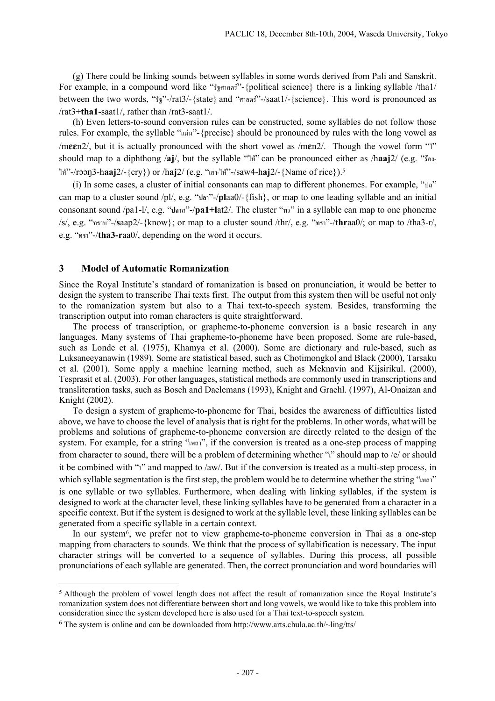(g) There could be linking sounds between syllables in some words derived from Pali and Sanskrit. For example, in a compound word like "รัฐศาสตร"-{political science} there is a linking syllable /tha1/ between the two words, "รัฐ"-/rat3/-{state} and "ศาสตร"-/saat1/-{science}. This word is pronounced as /rat3+**tha1**-saat1/, rather than /rat3-saat1/.

 (h) Even letters-to-sound conversion rules can be constructed, some syllables do not follow those rules. For example, the syllable "แมน"-{precise} should be pronounced by rules with the long vowel as /meen2/, but it is actually pronounced with the short vowel as /men2/. Though the vowel form " $\mathbb{I}$ " should map to a diphthong /**aj**/, but the syllable "ไห" can be pronounced either as /h**aaj**2/ (e.g. "รอง-ไห"-/r3-h**aaj**2/-{cry}) or /h**aj**2/ (e.g. "เสา-ไห"-/saw4-h**aj**2/-{Name of rice}).5

 (i) In some cases, a cluster of initial consonants can map to different phonemes. For example, "ปล" can map to a cluster sound /pl/, e.g. "**ปล**า"-/**pl**aa0/-{fish}, or map to one leading syllable and an initial consonant sound /pa1-l/, e.g. "**ปล**าส"-/**pa1+l**at2/. The cluster "ทร" in a syllable can map to one phoneme /s/, e.g. "**ทร**าบ"-/**s**aap2/-{know}; or map to a cluster sound /thr/, e.g. "**ทร**า"-/**thr**aa0/; or map to /tha3-r/, e.g. "**ทร**า"-/**tha3-r**aa0/, depending on the word it occurs.

#### **3 Model of Automatic Romanization**

 $\overline{a}$ 

Since the Royal Institute's standard of romanization is based on pronunciation, it would be better to design the system to transcribe Thai texts first. The output from this system then will be useful not only to the romanization system but also to a Thai text-to-speech system. Besides, transforming the transcription output into roman characters is quite straightforward.

 The process of transcription, or grapheme-to-phoneme conversion is a basic research in any languages. Many systems of Thai grapheme-to-phoneme have been proposed. Some are rule-based, such as Londe et al. (1975), Khamya et al. (2000). Some are dictionary and rule-based, such as Luksaneeyanawin (1989). Some are statistical based, such as Chotimongkol and Black (2000), Tarsaku et al. (2001). Some apply a machine learning method, such as Meknavin and Kijsirikul. (2000), Tesprasit et al. (2003). For other languages, statistical methods are commonly used in transcriptions and transliteration tasks, such as Bosch and Daelemans (1993), Knight and Graehl. (1997), Al-Onaizan and Knight (2002).

 To design a system of grapheme-to-phoneme for Thai, besides the awareness of difficulties listed above, we have to choose the level of analysis that is right for the problems. In other words, what will be problems and solutions of grapheme-to-phoneme conversion are directly related to the design of the system. For example, for a string "เพลา", if the conversion is treated as a one-step process of mapping from character to sound, there will be a problem of determining whether "i" should map to /e/ or should it be combined with "า" and mapped to /aw/. But if the conversion is treated as a multi-step process, in which syllable segmentation is the first step, the problem would be to determine whether the string "เพลา" is one syllable or two syllables. Furthermore, when dealing with linking syllables, if the system is designed to work at the character level, these linking syllables have to be generated from a character in a specific context. But if the system is designed to work at the syllable level, these linking syllables can be generated from a specific syllable in a certain context.

In our system<sup>6</sup>, we prefer not to view grapheme-to-phoneme conversion in Thai as a one-step mapping from characters to sounds. We think that the process of syllabification is necessary. The input character strings will be converted to a sequence of syllables. During this process, all possible pronunciations of each syllable are generated. Then, the correct pronunciation and word boundaries will

<sup>5</sup> Although the problem of vowel length does not affect the result of romanization since the Royal Institute's romanization system does not differentiate between short and long vowels, we would like to take this problem into consideration since the system developed here is also used for a Thai text-to-speech system.

<sup>6</sup> The system is online and can be downloaded from http://www.arts.chula.ac.th/~ling/tts/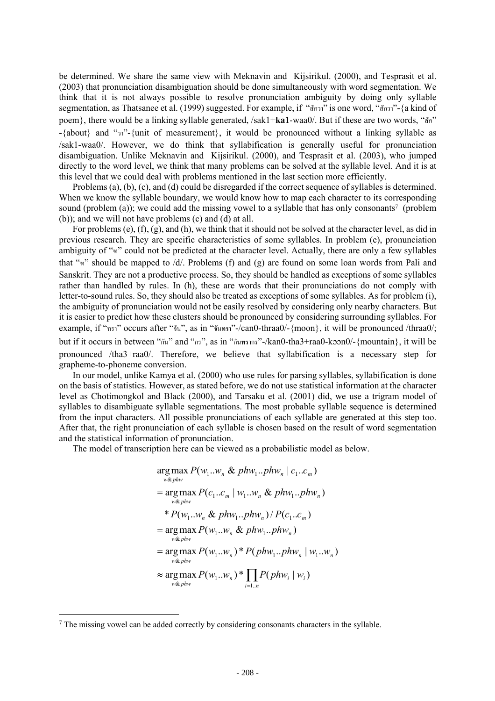be determined. We share the same view with Meknavin and Kijsirikul. (2000), and Tesprasit et al. (2003) that pronunciation disambiguation should be done simultaneously with word segmentation. We think that it is not always possible to resolve pronunciation ambiguity by doing only syllable segmentation, as Thatsanee et al. (1999) suggested. For example, if "สักวา" is one word, "สักวา"-{a kind of poem}, there would be a linking syllable generated, /sak1+**ka1**-waa0/. But if these are two words, "สัก" -{about} and "วา"-{unit of measurement}, it would be pronounced without a linking syllable as /sak1-waa0/. However, we do think that syllabification is generally useful for pronunciation disambiguation. Unlike Meknavin and Kijsirikul. (2000), and Tesprasit et al. (2003), who jumped directly to the word level, we think that many problems can be solved at the syllable level. And it is at this level that we could deal with problems mentioned in the last section more efficiently.

 Problems (a), (b), (c), and (d) could be disregarded if the correct sequence of syllables is determined. When we know the syllable boundary, we would know how to map each character to its corresponding sound (problem (a)); we could add the missing vowel to a syllable that has only consonants<sup>7</sup> (problem (b)); and we will not have problems (c) and (d) at all.

 For problems (e), (f), (g), and (h), we think that it should not be solved at the character level, as did in previous research. They are specific characteristics of some syllables. In problem (e), pronunciation ambiguity of "ฑ" could not be predicted at the character level. Actually, there are only a few syllables that "ฑ" should be mapped to /d/. Problems (f) and (g) are found on some loan words from Pali and Sanskrit. They are not a productive process. So, they should be handled as exceptions of some syllables rather than handled by rules. In (h), these are words that their pronunciations do not comply with letter-to-sound rules. So, they should also be treated as exceptions of some syllables. As for problem (i), the ambiguity of pronunciation would not be easily resolved by considering only nearby characters. But it is easier to predict how these clusters should be pronounced by considering surrounding syllables. For example, if "ทรา" occurs after "จัน", as in "จัน**ทรา**"-/can0-thraa0/-{moon}, it will be pronounced /thraa0/; but if it occurs in between "กัน" and "กร", as in "กันทรากร"-/kan0-tha3+raa0-koon0/-{mountain}, it will be pronounced /tha3+raa0/. Therefore, we believe that syllabification is a necessary step for grapheme-to-phoneme conversion.

 In our model, unlike Kamya et al. (2000) who use rules for parsing syllables, syllabification is done on the basis of statistics. However, as stated before, we do not use statistical information at the character level as Chotimongkol and Black (2000), and Tarsaku et al. (2001) did, we use a trigram model of syllables to disambiguate syllable segmentations. The most probable syllable sequence is determined from the input characters. All possible pronunciations of each syllable are generated at this step too. After that, the right pronunciation of each syllable is chosen based on the result of word segmentation and the statistical information of pronunciation.

The model of transcription here can be viewed as a probabilistic model as below.

$$
\arg\max_{w\&phw} P(w_1..w_n \& phw_1..phw_n | c_1..c_m)
$$
  
= 
$$
\arg\max_{w\&phw} P(c_1..c_m | w_1..w_n \& phw_1..phw_n)
$$
  
\* 
$$
P(w_1..w_n \& phw_1..phw_n) / P(c_1..c_m)
$$
  
= 
$$
\arg\max_{w\&phw} P(w_1..w_n \& phw_1..phw_n)
$$
  
= 
$$
\arg\max_{w\&phw} P(w_1..w_n) * P(phw_1..phw_n | w_1..w_n)
$$
  
≈ 
$$
\arg\max_{w\&phw} P(w_1..w_n) * \prod_{i=1..n} P(phw_i | w_i)
$$

l

<sup>7</sup> The missing vowel can be added correctly by considering consonants characters in the syllable.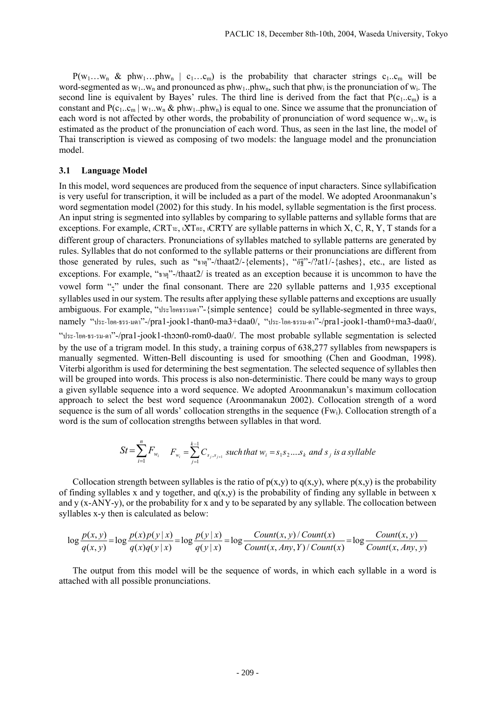$P(w_1...w_n \& phw_1...phw_n \mid c_1...c_m)$  is the probability that character strings  $c_1...c_m$  will be word-segmented as  $w_1...w_n$  and pronounced as  $phw_1..phw_n$ , such that  $phw_i$  is the pronunciation of  $w_i$ . The second line is equivalent by Bayes' rules. The third line is derived from the fact that  $P(c_1..c_m)$  is a constant and  $P(c_1..c_m | w_1..w_n \& phw_1..phw_n)$  is equal to one. Since we assume that the pronunciation of each word is not affected by other words, the probability of pronunciation of word sequence  $w_1...w_n$  is estimated as the product of the pronunciation of each word. Thus, as seen in the last line, the model of Thai transcription is viewed as composing of two models: the language model and the pronunciation model.

# **3.1 Language Model**

In this model, word sequences are produced from the sequence of input characters. Since syllabification is very useful for transcription, it will be included as a part of the model. We adopted Aroonmanakun's word segmentation model (2002) for this study. In his model, syllable segmentation is the first process. An input string is segmented into syllables by comparing to syllable patterns and syllable forms that are exceptions. For example,  $\iota$ CRT $\nu$ ,  $\iota$ XT $\nu$ ,  $\iota$ CRTY are syllable patterns in which X, C, R, Y, T stands for a different group of characters. Pronunciations of syllables matched to syllable patterns are generated by rules. Syllables that do not conformed to the syllable patterns or their pronunciations are different from those generated by rules, such as "ธาตุ"-/thaat2/-{elements}, "อัฐิ"-/?at1/-{ashes}, etc., are listed as exceptions. For example, "ธาตุ"-/thaat2/ is treated as an exception because it is uncommon to have the vowel form "-ุ" under the final consonant. There are 220 syllable patterns and 1,935 exceptional syllables used in our system. The results after applying these syllable patterns and exceptions are usually ambiguous. For example, "ประโยคธรรมดา"-{simple sentence} could be syllable-segmented in three ways, namely "ประ-โยค-ธรร-มดา"-/pra1-jook1-than0-ma3+daa0/, "ประ-โยค-ธรรม-ดา"-/pra1-jook1-tham0+ma3-daa0/, "ประ-โยค-ธร-รม-ดา"-/pra1-jook1-thn0-rom0-daa0/. The most probable syllable segmentation is selected by the use of a trigram model. In this study, a training corpus of 638,277 syllables from newspapers is manually segmented. Witten-Bell discounting is used for smoothing (Chen and Goodman, 1998). Viterbi algorithm is used for determining the best segmentation. The selected sequence of syllables then will be grouped into words. This process is also non-deterministic. There could be many ways to group a given syllable sequence into a word sequence. We adopted Aroonmanakun's maximum collocation approach to select the best word sequence (Aroonmanakun 2002). Collocation strength of a word sequence is the sum of all words' collocation strengths in the sequence (Fwi). Collocation strength of a word is the sum of collocation strengths between syllables in that word.

$$
St = \sum_{i=1}^{n} F_{w_i} \quad F_{w_i} = \sum_{j=1}^{k-1} C_{s_j, s_{j+1}} \text{ such that } w_i = s_1 s_2 ... s_k \text{ and } s_j \text{ is a syllable}
$$

Collocation strength between syllables is the ratio of  $p(x,y)$  to  $q(x,y)$ , where  $p(x,y)$  is the probability of finding syllables x and y together, and  $q(x,y)$  is the probability of finding any syllable in between x and y (x-ANY-y), or the probability for x and y to be separated by any syllable. The collocation between syllables x-y then is calculated as below:

$$
\log \frac{p(x, y)}{q(x, y)} = \log \frac{p(x)p(y|x)}{q(x)q(y|x)} = \log \frac{p(y|x)}{q(y|x)} = \log \frac{Count(x, y) / Count(x)}{Count(x, Any, Y) / Count(x)} = \log \frac{Count(x, y)}{Count(x, Any, y)}
$$

 The output from this model will be the sequence of words, in which each syllable in a word is attached with all possible pronunciations.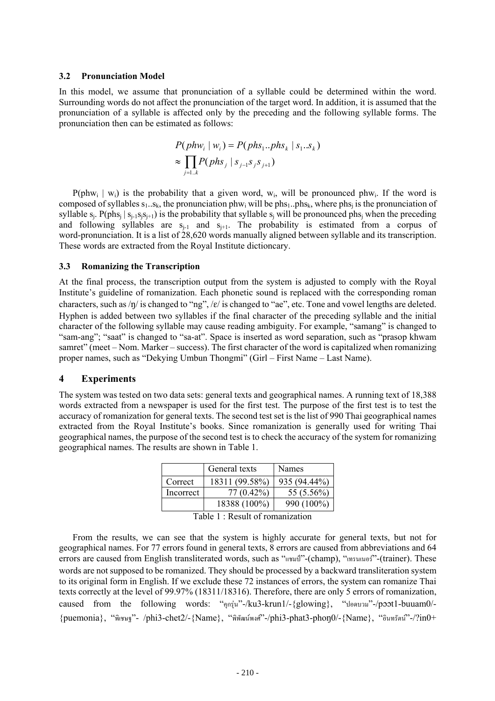#### **3.2 Pronunciation Model**

In this model, we assume that pronunciation of a syllable could be determined within the word. Surrounding words do not affect the pronunciation of the target word. In addition, it is assumed that the pronunciation of a syllable is affected only by the preceding and the following syllable forms. The pronunciation then can be estimated as follows:

$$
P(phw_i | w_i) = P(phs_1..phs_k | s_1..s_k)
$$
  
\n
$$
\approx \prod_{j=1..k} P(phs_j | s_{j-1}s_j s_{j+1})
$$

 $P(\text{phw}_i \mid w_i)$  is the probability that a given word, w<sub>i</sub>, will be pronounced phw<sub>i</sub>. If the word is composed of syllables  $s_1..s_k$ , the pronunciation phw<sub>i</sub> will be phs<sub>1</sub>. phs<sub>k</sub>, where phs<sub>i</sub> is the pronunciation of syllable  $s_i$ . P(phs<sub>i</sub> |  $s_{i-1}s_i s_{i+1}$ ) is the probability that syllable  $s_i$  will be pronounced phs<sub>i</sub> when the preceding and following syllables are  $s_{i-1}$  and  $s_{i+1}$ . The probability is estimated from a corpus of word-pronunciation. It is a list of 28,620 words manually aligned between syllable and its transcription. These words are extracted from the Royal Institute dictioncary.

## **3.3 Romanizing the Transcription**

At the final process, the transcription output from the system is adjusted to comply with the Royal Institute's guideline of romanization. Each phonetic sound is replaced with the corresponding roman characters, such as  $/p /$  is changed to "ng",  $/e /$  is changed to "ae", etc. Tone and vowel lengths are deleted. Hyphen is added between two syllables if the final character of the preceding syllable and the initial character of the following syllable may cause reading ambiguity. For example, "samang" is changed to "sam-ang"; "saat" is changed to "sa-at". Space is inserted as word separation, such as "prasop khwam" samret" (meet – Nom. Marker – success). The first character of the word is capitalized when romanizing proper names, such as "Dekying Umbun Thongmi" (Girl – First Name – Last Name).

## **4 Experiments**

The system was tested on two data sets: general texts and geographical names. A running text of 18,388 words extracted from a newspaper is used for the first test. The purpose of the first test is to test the accuracy of romanization for general texts. The second test set is the list of 990 Thai geographical names extracted from the Royal Institute's books. Since romanization is generally used for writing Thai geographical names, the purpose of the second test is to check the accuracy of the system for romanizing geographical names. The results are shown in Table 1.

|           | General texts  | Names        |
|-----------|----------------|--------------|
| Correct   | 18311 (99.58%) | 935 (94.44%) |
| Incorrect | $77(0.42\%)$   | 55 (5.56%)   |
|           | 18388 (100%)   | 990 (100%)   |

Table 1 : Result of romanization

 From the results, we can see that the system is highly accurate for general texts, but not for geographical names. For 77 errors found in general texts, 8 errors are caused from abbreviations and 64 errors are caused from English transliterated words, such as "แชมป"-(champ), "เทรนเนอร"-(trainer). These words are not supposed to be romanized. They should be processed by a backward transliteration system to its original form in English. If we exclude these 72 instances of errors, the system can romanize Thai texts correctly at the level of 99.97% (18311/18316). Therefore, there are only 5 errors of romanization, caused from the following words: "คุกรุ่น"-/ku3-krun1/-{glowing}, "ปอดบวม"-/poot1-buuam0/-{puemonia}, "พิเชษฐ"- /phi3-chet2/-{Name}, "พิพัฒนพงศ"-/phi3-phat3-pho0/-{Name}, "อินทรัตน"-/?in0+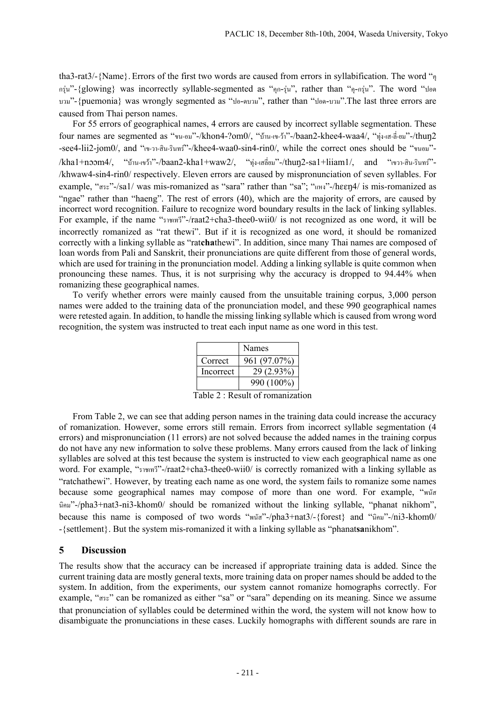tha3-rat3/-{Name}. Errors of the first two words are caused from errors in syllabification. The word "คุ กรุน"-{glowing} was incorrectly syllable-segmented as "คุก-รุน", rather than "คุ-กรุน". The word "ปอด บวม"-{puemonia} was wrongly segmented as "ปอ-ดบวม", rather than "ปอด-บวม".The last three errors are caused from Thai person names.

 For 55 errors of geographical names, 4 errors are caused by incorrect syllable segmentation. These four names are segmented as "ขน-อม"-/khon4-?om0/, "บาน-เข-วา"-/baan2-khee4-waa4/, "ทุง-เส-ลี่-ยม"-/thu2 -see4-lii2-jom0/, and "เข-วา-สิน-รินทร"-/khee4-waa0-sin4-rin0/, while the correct ones should be "ขนอม"-  $/kha1+noom4/$ , "บ้าน-เขว้า"-/baan2-kha1+waw2/, "ทุ่ง-เสลี่ยม"-/thun2-sa1+liiam1/, and "เขวา-สิน-รินทร์"-/khwaw4-sin4-rin0/ respectively. Eleven errors are caused by mispronunciation of seven syllables. For example, "สระ"-/sa1/ was mis-romanized as "sara" rather than "sa"; "แหง"-/heen $4/$  is mis-romanized as "ngae" rather than "haeng". The rest of errors (40), which are the majority of errors, are caused by incorrect word recognition. Failure to recognize word boundary results in the lack of linking syllables. For example, if the name "ราชเทวี"-/raat2+cha3-thee0-wii0/ is not recognized as one word, it will be incorrectly romanized as "rat thewi". But if it is recognized as one word, it should be romanized correctly with a linking syllable as "rat**cha**thewi". In addition, since many Thai names are composed of loan words from Pali and Sanskrit, their pronunciations are quite different from those of general words, which are used for training in the pronunciation model. Adding a linking syllable is quite common when pronouncing these names. Thus, it is not surprising why the accuracy is dropped to 94.44% when romanizing these geographical names.

 To verify whether errors were mainly caused from the unsuitable training corpus, 3,000 person names were added to the training data of the pronunciation model, and these 990 geographical names were retested again. In addition, to handle the missing linking syllable which is caused from wrong word recognition, the system was instructed to treat each input name as one word in this test.

|           | Names        |
|-----------|--------------|
| Correct   | 961 (97.07%) |
| Incorrect | 29 (2.93%)   |
|           | 990 (100%)   |

Table 2 : Result of romanization

 From Table 2, we can see that adding person names in the training data could increase the accuracy of romanization. However, some errors still remain. Errors from incorrect syllable segmentation (4 errors) and mispronunciation (11 errors) are not solved because the added names in the training corpus do not have any new information to solve these problems. Many errors caused from the lack of linking syllables are solved at this test because the system is instructed to view each geographical name as one word. For example, "ราชเทวี"-/raat2+cha3-thee0-wii0/ is correctly romanized with a linking syllable as "ratchathewi". However, by treating each name as one word, the system fails to romanize some names because some geographical names may compose of more than one word. For example, "พนัส นิคม"-/pha3+nat3-ni3-khom0/ should be romanized without the linking syllable, "phanat nikhom", because this name is composed of two words "พนัส"-/pha3+nat3/-{forest} and "นิคม"-/ni3-khom0/ -{settlement}. But the system mis-romanized it with a linking syllable as "phanat**sa**nikhom".

# **5 Discussion**

The results show that the accuracy can be increased if appropriate training data is added. Since the current training data are mostly general texts, more training data on proper names should be added to the system. In addition, from the experiments, our system cannot romanize homographs correctly. For example, "สระ" can be romanized as either "sa" or "sara" depending on its meaning. Since we assume that pronunciation of syllables could be determined within the word, the system will not know how to disambiguate the pronunciations in these cases. Luckily homographs with different sounds are rare in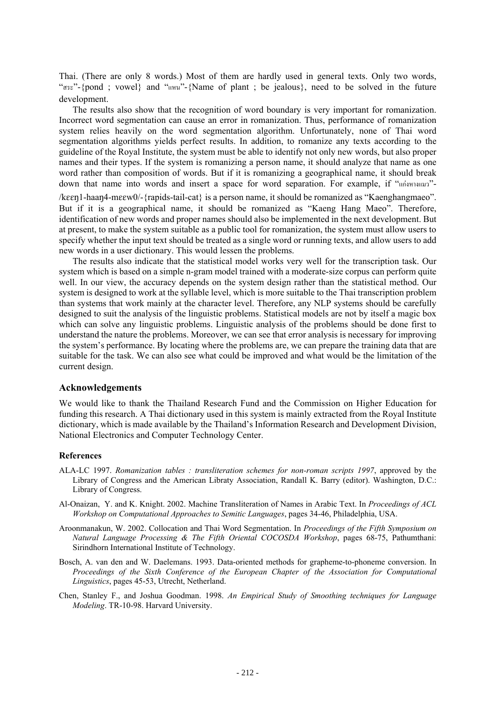Thai. (There are only 8 words.) Most of them are hardly used in general texts. Only two words, "สระ"-{pond ; vowel} and "แหน"-{Name of plant ; be jealous}, need to be solved in the future development.

 The results also show that the recognition of word boundary is very important for romanization. Incorrect word segmentation can cause an error in romanization. Thus, performance of romanization system relies heavily on the word segmentation algorithm. Unfortunately, none of Thai word segmentation algorithms yields perfect results. In addition, to romanize any texts according to the guideline of the Royal Institute, the system must be able to identify not only new words, but also proper names and their types. If the system is romanizing a person name, it should analyze that name as one word rather than composition of words. But if it is romanizing a geographical name, it should break down that name into words and insert a space for word separation. For example, if "แกงหางแมว"-

 $\lambda$ k $\epsilon$ en $1$ -haan $4$ -me $\epsilon$ w $0$ /-{rapids-tail-cat} is a person name, it should be romanized as "Kaenghangmaeo". But if it is a geographical name, it should be romanized as "Kaeng Hang Maeo". Therefore, identification of new words and proper names should also be implemented in the next development. But at present, to make the system suitable as a public tool for romanization, the system must allow users to specify whether the input text should be treated as a single word or running texts, and allow users to add new words in a user dictionary. This would lessen the problems.

 The results also indicate that the statistical model works very well for the transcription task. Our system which is based on a simple n-gram model trained with a moderate-size corpus can perform quite well. In our view, the accuracy depends on the system design rather than the statistical method. Our system is designed to work at the syllable level, which is more suitable to the Thai transcription problem than systems that work mainly at the character level. Therefore, any NLP systems should be carefully designed to suit the analysis of the linguistic problems. Statistical models are not by itself a magic box which can solve any linguistic problems. Linguistic analysis of the problems should be done first to understand the nature the problems. Moreover, we can see that error analysis is necessary for improving the system's performance. By locating where the problems are, we can prepare the training data that are suitable for the task. We can also see what could be improved and what would be the limitation of the current design.

## **Acknowledgements**

We would like to thank the Thailand Research Fund and the Commission on Higher Education for funding this research. A Thai dictionary used in this system is mainly extracted from the Royal Institute dictionary, which is made available by the Thailand's Information Research and Development Division, National Electronics and Computer Technology Center.

#### **References**

- ALA-LC 1997. *Romanization tables : transliteration schemes for non-roman scripts 1997*, approved by the Library of Congress and the American Libraty Association, Randall K. Barry (editor). Washington, D.C.: Library of Congress.
- Al-Onaizan, Y. and K. Knight. 2002. Machine Transliteration of Names in Arabic Text. In *Proceedings of ACL Workshop on Computational Approaches to Semitic Languages*, pages 34-46, Philadelphia, USA.
- Aroonmanakun, W. 2002. Collocation and Thai Word Segmentation. In *Proceedings of the Fifth Symposium on Natural Language Processing & The Fifth Oriental COCOSDA Workshop*, pages 68-75, Pathumthani: Sirindhorn International Institute of Technology.
- Bosch, A. van den and W. Daelemans. 1993. Data-oriented methods for grapheme-to-phoneme conversion. In *Proceedings of the Sixth Conference of the European Chapter of the Association for Computational Linguistics*, pages 45-53, Utrecht, Netherland.
- Chen, Stanley F., and Joshua Goodman. 1998. *An Empirical Study of Smoothing techniques for Language Modeling*. TR-10-98. Harvard University.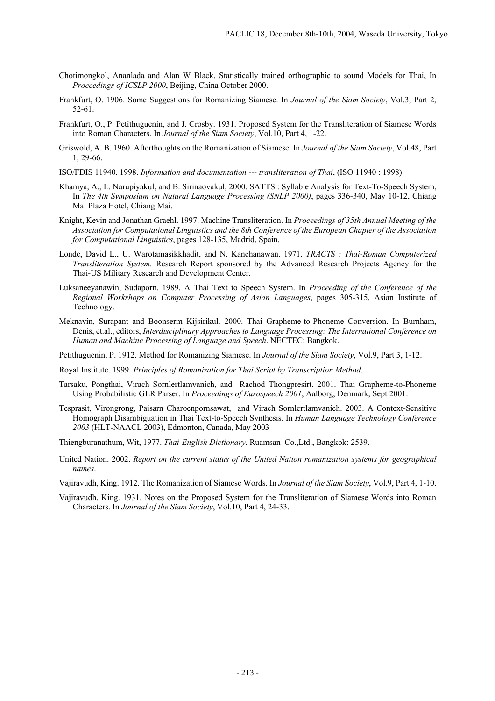- Chotimongkol, Ananlada and Alan W Black. Statistically trained orthographic to sound Models for Thai, In *Proceedings of ICSLP 2000*, Beijing, China October 2000.
- Frankfurt, O. 1906. Some Suggestions for Romanizing Siamese. In *Journal of the Siam Society*, Vol.3, Part 2, 52-61.
- Frankfurt, O., P. Petithuguenin, and J. Crosby. 1931. Proposed System for the Transliteration of Siamese Words into Roman Characters. In *Journal of the Siam Society*, Vol.10, Part 4, 1-22.
- Griswold, A. B. 1960. Afterthoughts on the Romanization of Siamese. In *Journal of the Siam Society*, Vol.48, Part 1, 29-66.
- ISO/FDIS 11940. 1998. *Information and documentation --- transliteration of Thai*, (ISO 11940 : 1998)
- Khamya, A., L. Narupiyakul, and B. Sirinaovakul, 2000. SATTS : Syllable Analysis for Text-To-Speech System, In *The 4th Symposium on Natural Language Processing (SNLP 2000)*, pages 336-340, May 10-12, Chiang Mai Plaza Hotel, Chiang Mai.
- Knight, Kevin and Jonathan Graehl. 1997. Machine Transliteration. In *Proceedings of 35th Annual Meeting of the Association for Computational Linguistics and the 8th Conference of the European Chapter of the Association for Computational Linguistics*, pages 128-135, Madrid, Spain.
- Londe, David L., U. Warotamasikkhadit, and N. Kanchanawan. 1971. *TRACTS : Thai-Roman Computerized Transliteration System.* Research Report sponsored by the Advanced Research Projects Agency for the Thai-US Military Research and Development Center.
- Luksaneeyanawin, Sudaporn. 1989. A Thai Text to Speech System. In *Proceeding of the Conference of the Regional Workshops on Computer Processing of Asian Languages*, pages 305-315, Asian Institute of Technology.
- Meknavin, Surapant and Boonserm Kijsirikul. 2000. Thai Grapheme-to-Phoneme Conversion. In Burnham, Denis, et.al., editors, *Interdisciplinary Approaches to Language Processing: The International Conference on Human and Machine Processing of Language and Speech*. NECTEC: Bangkok.
- Petithuguenin, P. 1912. Method for Romanizing Siamese. In *Journal of the Siam Society*, Vol.9, Part 3, 1-12.
- Royal Institute. 1999. *Principles of Romanization for Thai Script by Transcription Method*.
- Tarsaku, Pongthai, Virach Sornlertlamvanich, and Rachod Thongpresirt. 2001. Thai Grapheme-to-Phoneme Using Probabilistic GLR Parser. In *Proceedings of Eurospeech 2001*, Aalborg, Denmark, Sept 2001.
- Tesprasit, Virongrong, Paisarn Charoenpornsawat, and Virach Sornlertlamvanich. 2003. A Context-Sensitive Homograph Disambiguation in Thai Text-to-Speech Synthesis. In *Human Language Technology Conference 2003* (HLT-NAACL 2003), Edmonton, Canada, May 2003
- Thiengburanathum, Wit, 1977. *Thai-English Dictionary.* Ruamsan Co.,Ltd., Bangkok: 2539.
- United Nation. 2002. *Report on the current status of the United Nation romanization systems for geographical names*.
- Vajiravudh, King. 1912. The Romanization of Siamese Words. In *Journal of the Siam Society*, Vol.9, Part 4, 1-10.
- Vajiravudh, King. 1931. Notes on the Proposed System for the Transliteration of Siamese Words into Roman Characters. In *Journal of the Siam Society*, Vol.10, Part 4, 24-33.